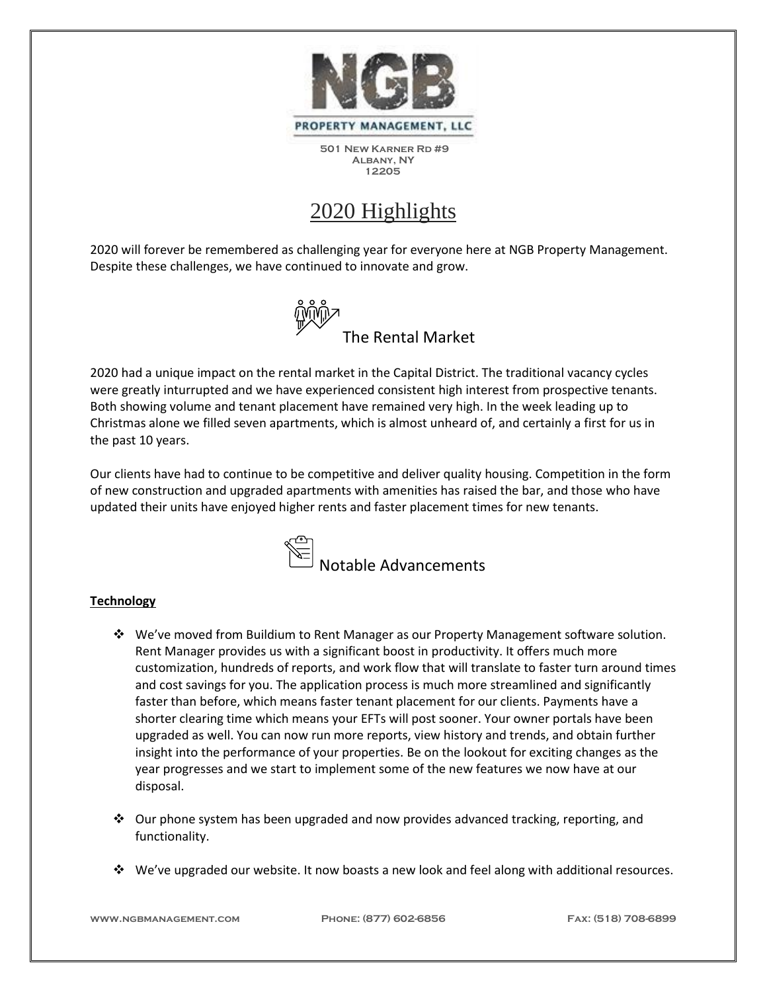

## 2020 Highlights

2020 will forever be remembered as challenging year for everyone here at NGB Property Management. Despite these challenges, we have continued to innovate and grow.



2020 had a unique impact on the rental market in the Capital District. The traditional vacancy cycles were greatly inturrupted and we have experienced consistent high interest from prospective tenants. Both showing volume and tenant placement have remained very high. In the week leading up to Christmas alone we filled seven apartments, which is almost unheard of, and certainly a first for us in the past 10 years.

Our clients have had to continue to be competitive and deliver quality housing. Competition in the form of new construction and upgraded apartments with amenities has raised the bar, and those who have updated their units have enjoyed higher rents and faster placement times for new tenants.



## **Technology**

- ❖ We've moved from Buildium to Rent Manager as our Property Management software solution. Rent Manager provides us with a significant boost in productivity. It offers much more customization, hundreds of reports, and work flow that will translate to faster turn around times and cost savings for you. The application process is much more streamlined and significantly faster than before, which means faster tenant placement for our clients. Payments have a shorter clearing time which means your EFTs will post sooner. Your owner portals have been upgraded as well. You can now run more reports, view history and trends, and obtain further insight into the performance of your properties. Be on the lookout for exciting changes as the year progresses and we start to implement some of the new features we now have at our disposal.
- ❖ Our phone system has been upgraded and now provides advanced tracking, reporting, and functionality.
- ❖ We've upgraded our website. It now boasts a new look and feel along with additional resources.